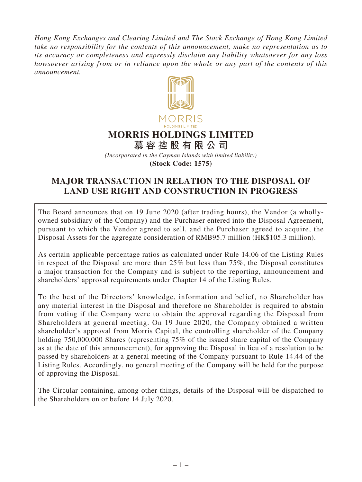*Hong Kong Exchanges and Clearing Limited and The Stock Exchange of Hong Kong Limited take no responsibility for the contents of this announcement, make no representation as to its accuracy or completeness and expressly disclaim any liability whatsoever for any loss howsoever arising from or in reliance upon the whole or any part of the contents of this announcement.*



## **MORRIS HOLDINGS LIMITED**

**慕容控股有限公司** *(Incorporated in the Cayman Islands with limited liability)* **(Stock Code: 1575)**

## **MAJOR TRANSACTION IN RELATION TO THE DISPOSAL OF LAND USE RIGHT AND CONSTRUCTION IN PROGRESS**

The Board announces that on 19 June 2020 (after trading hours), the Vendor (a whollyowned subsidiary of the Company) and the Purchaser entered into the Disposal Agreement, pursuant to which the Vendor agreed to sell, and the Purchaser agreed to acquire, the Disposal Assets for the aggregate consideration of RMB95.7 million (HK\$105.3 million).

As certain applicable percentage ratios as calculated under Rule 14.06 of the Listing Rules in respect of the Disposal are more than 25% but less than 75%, the Disposal constitutes a major transaction for the Company and is subject to the reporting, announcement and shareholders' approval requirements under Chapter 14 of the Listing Rules.

To the best of the Directors' knowledge, information and belief, no Shareholder has any material interest in the Disposal and therefore no Shareholder is required to abstain from voting if the Company were to obtain the approval regarding the Disposal from Shareholders at general meeting. On 19 June 2020, the Company obtained a written shareholder's approval from Morris Capital, the controlling shareholder of the Company holding 750,000,000 Shares (representing 75% of the issued share capital of the Company as at the date of this announcement), for approving the Disposal in lieu of a resolution to be passed by shareholders at a general meeting of the Company pursuant to Rule 14.44 of the Listing Rules. Accordingly, no general meeting of the Company will be held for the purpose of approving the Disposal.

The Circular containing, among other things, details of the Disposal will be dispatched to the Shareholders on or before 14 July 2020.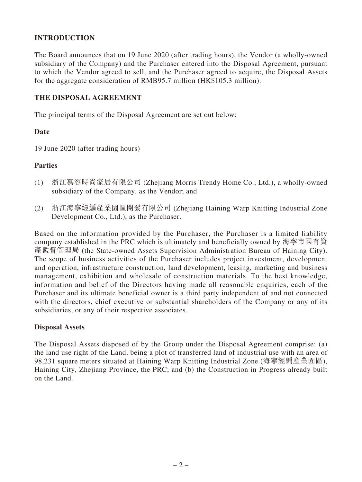## **INTRODUCTION**

The Board announces that on 19 June 2020 (after trading hours), the Vendor (a wholly-owned subsidiary of the Company) and the Purchaser entered into the Disposal Agreement, pursuant to which the Vendor agreed to sell, and the Purchaser agreed to acquire, the Disposal Assets for the aggregate consideration of RMB95.7 million (HK\$105.3 million).

## **THE DISPOSAL AGREEMENT**

The principal terms of the Disposal Agreement are set out below:

#### **Date**

19 June 2020 (after trading hours)

#### **Parties**

- (1) 浙江慕容時尚家居有限公司 (Zhejiang Morris Trendy Home Co., Ltd.), a wholly-owned subsidiary of the Company, as the Vendor; and
- (2) 浙江海寧經編產業園區開發有限公司 (Zhejiang Haining Warp Knitting Industrial Zone Development Co., Ltd.), as the Purchaser.

Based on the information provided by the Purchaser, the Purchaser is a limited liability company established in the PRC which is ultimately and beneficially owned by 海寧市國有資 產監督管理局 (the State-owned Assets Supervision Administration Bureau of Haining City). The scope of business activities of the Purchaser includes project investment, development and operation, infrastructure construction, land development, leasing, marketing and business management, exhibition and wholesale of construction materials. To the best knowledge, information and belief of the Directors having made all reasonable enquiries, each of the Purchaser and its ultimate beneficial owner is a third party independent of and not connected with the directors, chief executive or substantial shareholders of the Company or any of its subsidiaries, or any of their respective associates.

#### **Disposal Assets**

The Disposal Assets disposed of by the Group under the Disposal Agreement comprise: (a) the land use right of the Land, being a plot of transferred land of industrial use with an area of 98,231 square meters situated at Haining Warp Knitting Industrial Zone (海寧經編產業園區), Haining City, Zhejiang Province, the PRC; and (b) the Construction in Progress already built on the Land.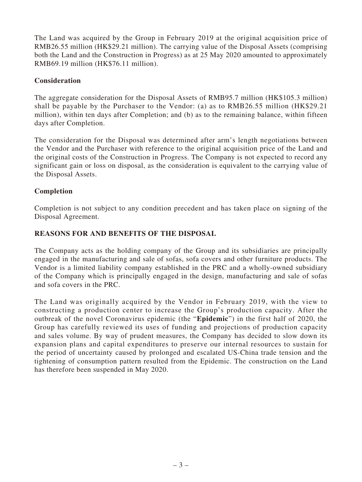The Land was acquired by the Group in February 2019 at the original acquisition price of RMB26.55 million (HK\$29.21 million). The carrying value of the Disposal Assets (comprising both the Land and the Construction in Progress) as at 25 May 2020 amounted to approximately RMB69.19 million (HK\$76.11 million).

## **Consideration**

The aggregate consideration for the Disposal Assets of RMB95.7 million (HK\$105.3 million) shall be payable by the Purchaser to the Vendor: (a) as to RMB26.55 million (HK\$29.21 million), within ten days after Completion; and (b) as to the remaining balance, within fifteen days after Completion.

The consideration for the Disposal was determined after arm's length negotiations between the Vendor and the Purchaser with reference to the original acquisition price of the Land and the original costs of the Construction in Progress. The Company is not expected to record any significant gain or loss on disposal, as the consideration is equivalent to the carrying value of the Disposal Assets.

## **Completion**

Completion is not subject to any condition precedent and has taken place on signing of the Disposal Agreement.

### **REASONS FOR AND BENEFITS OF THE DISPOSAL**

The Company acts as the holding company of the Group and its subsidiaries are principally engaged in the manufacturing and sale of sofas, sofa covers and other furniture products. The Vendor is a limited liability company established in the PRC and a wholly-owned subsidiary of the Company which is principally engaged in the design, manufacturing and sale of sofas and sofa covers in the PRC.

The Land was originally acquired by the Vendor in February 2019, with the view to constructing a production center to increase the Group's production capacity. After the outbreak of the novel Coronavirus epidemic (the "**Epidemic**") in the first half of 2020, the Group has carefully reviewed its uses of funding and projections of production capacity and sales volume. By way of prudent measures, the Company has decided to slow down its expansion plans and capital expenditures to preserve our internal resources to sustain for the period of uncertainty caused by prolonged and escalated US-China trade tension and the tightening of consumption pattern resulted from the Epidemic. The construction on the Land has therefore been suspended in May 2020.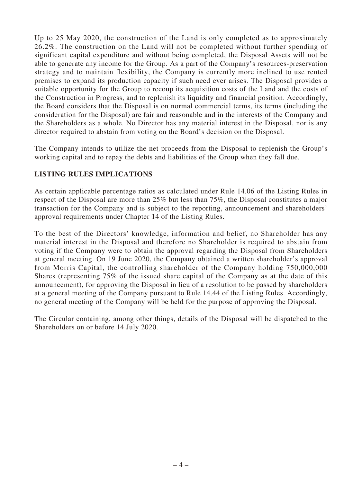Up to 25 May 2020, the construction of the Land is only completed as to approximately 26.2%. The construction on the Land will not be completed without further spending of significant capital expenditure and without being completed, the Disposal Assets will not be able to generate any income for the Group. As a part of the Company's resources-preservation strategy and to maintain flexibility, the Company is currently more inclined to use rented premises to expand its production capacity if such need ever arises. The Disposal provides a suitable opportunity for the Group to recoup its acquisition costs of the Land and the costs of the Construction in Progress, and to replenish its liquidity and financial position. Accordingly, the Board considers that the Disposal is on normal commercial terms, its terms (including the consideration for the Disposal) are fair and reasonable and in the interests of the Company and the Shareholders as a whole. No Director has any material interest in the Disposal, nor is any director required to abstain from voting on the Board's decision on the Disposal.

The Company intends to utilize the net proceeds from the Disposal to replenish the Group's working capital and to repay the debts and liabilities of the Group when they fall due.

## **LISTING RULES IMPLICATIONS**

As certain applicable percentage ratios as calculated under Rule 14.06 of the Listing Rules in respect of the Disposal are more than 25% but less than 75%, the Disposal constitutes a major transaction for the Company and is subject to the reporting, announcement and shareholders' approval requirements under Chapter 14 of the Listing Rules.

To the best of the Directors' knowledge, information and belief, no Shareholder has any material interest in the Disposal and therefore no Shareholder is required to abstain from voting if the Company were to obtain the approval regarding the Disposal from Shareholders at general meeting. On 19 June 2020, the Company obtained a written shareholder's approval from Morris Capital, the controlling shareholder of the Company holding 750,000,000 Shares (representing 75% of the issued share capital of the Company as at the date of this announcement), for approving the Disposal in lieu of a resolution to be passed by shareholders at a general meeting of the Company pursuant to Rule 14.44 of the Listing Rules. Accordingly, no general meeting of the Company will be held for the purpose of approving the Disposal.

The Circular containing, among other things, details of the Disposal will be dispatched to the Shareholders on or before 14 July 2020.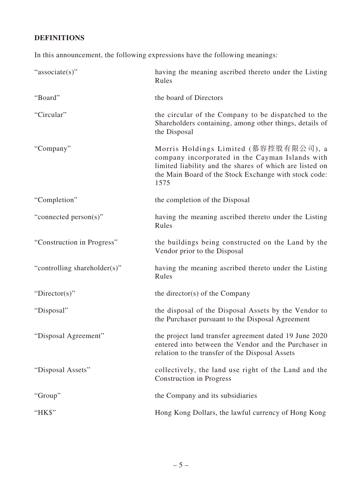# **DEFINITIONS**

In this announcement, the following expressions have the following meanings:

| "associate(s)"               | having the meaning ascribed thereto under the Listing<br>Rules                                                                                                                                                       |
|------------------------------|----------------------------------------------------------------------------------------------------------------------------------------------------------------------------------------------------------------------|
| "Board"                      | the board of Directors                                                                                                                                                                                               |
| "Circular"                   | the circular of the Company to be dispatched to the<br>Shareholders containing, among other things, details of<br>the Disposal                                                                                       |
| "Company"                    | Morris Holdings Limited (慕容控股有限公司), a<br>company incorporated in the Cayman Islands with<br>limited liability and the shares of which are listed on<br>the Main Board of the Stock Exchange with stock code:<br>1575 |
| "Completion"                 | the completion of the Disposal                                                                                                                                                                                       |
| "connected person(s)"        | having the meaning ascribed thereto under the Listing<br>Rules                                                                                                                                                       |
| "Construction in Progress"   | the buildings being constructed on the Land by the<br>Vendor prior to the Disposal                                                                                                                                   |
| "controlling shareholder(s)" | having the meaning ascribed thereto under the Listing<br>Rules                                                                                                                                                       |
| "Director(s)"                | the director(s) of the Company                                                                                                                                                                                       |
| "Disposal"                   | the disposal of the Disposal Assets by the Vendor to<br>the Purchaser pursuant to the Disposal Agreement                                                                                                             |
| "Disposal Agreement"         | the project land transfer agreement dated 19 June 2020<br>entered into between the Vendor and the Purchaser in<br>relation to the transfer of the Disposal Assets                                                    |
| "Disposal Assets"            | collectively, the land use right of the Land and the<br><b>Construction in Progress</b>                                                                                                                              |
| "Group"                      | the Company and its subsidiaries                                                                                                                                                                                     |
| "HK\$"                       | Hong Kong Dollars, the lawful currency of Hong Kong                                                                                                                                                                  |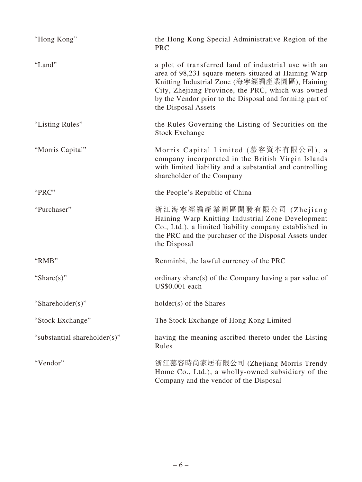| "Hong Kong"                  | the Hong Kong Special Administrative Region of the<br><b>PRC</b>                                                                                                                                                                                                                                     |
|------------------------------|------------------------------------------------------------------------------------------------------------------------------------------------------------------------------------------------------------------------------------------------------------------------------------------------------|
| "Land"                       | a plot of transferred land of industrial use with an<br>area of 98,231 square meters situated at Haining Warp<br>Knitting Industrial Zone (海寧經編產業園區), Haining<br>City, Zhejiang Province, the PRC, which was owned<br>by the Vendor prior to the Disposal and forming part of<br>the Disposal Assets |
| "Listing Rules"              | the Rules Governing the Listing of Securities on the<br><b>Stock Exchange</b>                                                                                                                                                                                                                        |
| "Morris Capital"             | Morris Capital Limited (慕容資本有限公司), a<br>company incorporated in the British Virgin Islands<br>with limited liability and a substantial and controlling<br>shareholder of the Company                                                                                                                 |
| "PRC"                        | the People's Republic of China                                                                                                                                                                                                                                                                       |
| "Purchaser"                  | 浙江海寧經編產業園區開發有限公司 (Zhejiang<br>Haining Warp Knitting Industrial Zone Development<br>Co., Ltd.), a limited liability company established in<br>the PRC and the purchaser of the Disposal Assets under<br>the Disposal                                                                                  |
| "RMB"                        | Renminbi, the lawful currency of the PRC                                                                                                                                                                                                                                                             |
| "Share $(s)$ "               | ordinary share(s) of the Company having a par value of<br>US\$0.001 each                                                                                                                                                                                                                             |
| "Shareholder(s)"             | holder(s) of the Shares                                                                                                                                                                                                                                                                              |
| "Stock Exchange"             | The Stock Exchange of Hong Kong Limited                                                                                                                                                                                                                                                              |
| "substantial shareholder(s)" | having the meaning ascribed thereto under the Listing<br>Rules                                                                                                                                                                                                                                       |
| "Vendor"                     | 浙江慕容時尚家居有限公司 (Zhejiang Morris Trendy<br>Home Co., Ltd.), a wholly-owned subsidiary of the<br>Company and the vendor of the Disposal                                                                                                                                                                  |